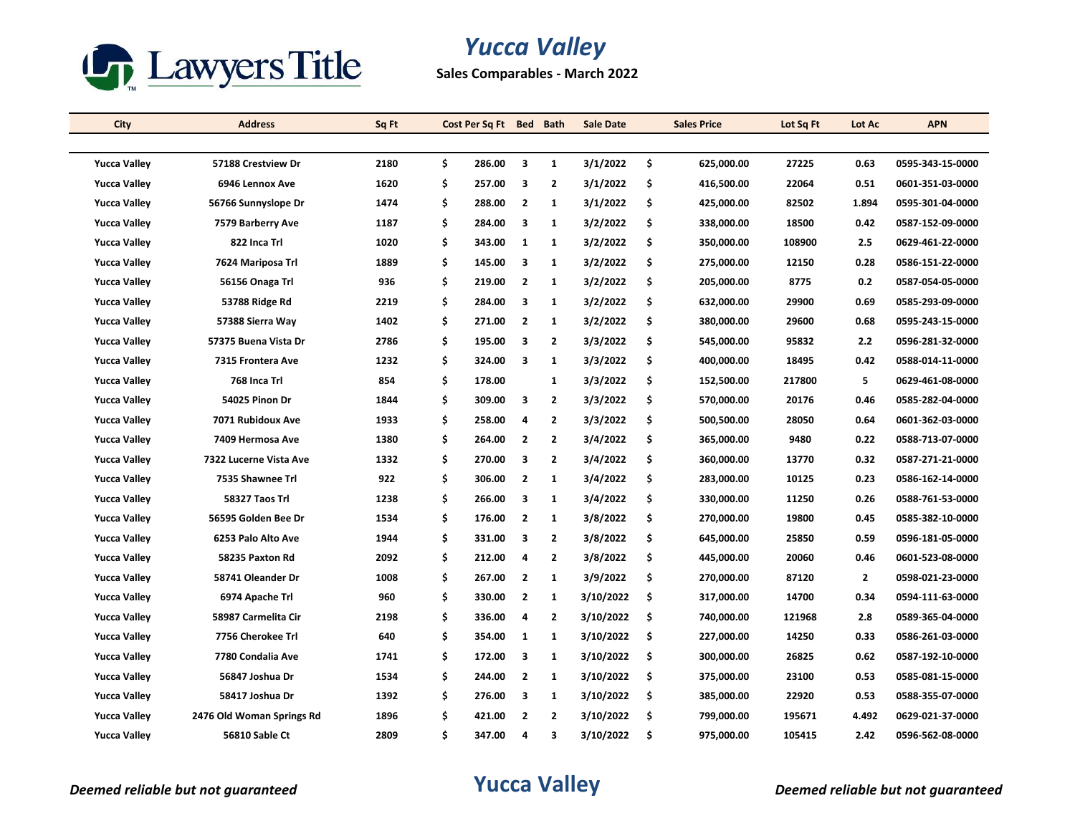

# *Yucca Valley*

**Sales Comparables - March 2022**

| City                | <b>Address</b>            | Sq Ft |    | Cost Per Sq Ft Bed |                         | <b>Bath</b>    | <b>Sale Date</b> | <b>Sales Price</b> | Lot Sq Ft | Lot Ac       | <b>APN</b>       |
|---------------------|---------------------------|-------|----|--------------------|-------------------------|----------------|------------------|--------------------|-----------|--------------|------------------|
|                     |                           |       |    |                    |                         |                |                  |                    |           |              |                  |
| <b>Yucca Valley</b> | 57188 Crestview Dr        | 2180  | \$ | 286.00             | 3                       | $\mathbf{1}$   | 3/1/2022         | \$<br>625,000.00   | 27225     | 0.63         | 0595-343-15-0000 |
| <b>Yucca Valley</b> | 6946 Lennox Ave           | 1620  | \$ | 257.00             | 3                       | $\mathbf{2}$   | 3/1/2022         | \$<br>416,500.00   | 22064     | 0.51         | 0601-351-03-0000 |
| <b>Yucca Valley</b> | 56766 Sunnyslope Dr       | 1474  | \$ | 288.00             | $\overline{2}$          | 1              | 3/1/2022         | \$<br>425,000.00   | 82502     | 1.894        | 0595-301-04-0000 |
| <b>Yucca Valley</b> | 7579 Barberry Ave         | 1187  | \$ | 284.00             | $\overline{\mathbf{3}}$ | 1              | 3/2/2022         | \$<br>338,000.00   | 18500     | 0.42         | 0587-152-09-0000 |
| <b>Yucca Valley</b> | 822 Inca Trl              | 1020  | \$ | 343.00             | 1                       | 1              | 3/2/2022         | \$<br>350,000.00   | 108900    | 2.5          | 0629-461-22-0000 |
| <b>Yucca Valley</b> | 7624 Mariposa Trl         | 1889  | \$ | 145.00             | 3                       | 1              | 3/2/2022         | \$<br>275,000.00   | 12150     | 0.28         | 0586-151-22-0000 |
| <b>Yucca Valley</b> | 56156 Onaga Trl           | 936   | \$ | 219.00             | $\overline{2}$          | 1              | 3/2/2022         | \$<br>205,000.00   | 8775      | 0.2          | 0587-054-05-0000 |
| <b>Yucca Valley</b> | 53788 Ridge Rd            | 2219  | \$ | 284.00             | 3                       | 1              | 3/2/2022         | \$<br>632,000.00   | 29900     | 0.69         | 0585-293-09-0000 |
| <b>Yucca Valley</b> | 57388 Sierra Way          | 1402  | \$ | 271.00             | $\overline{2}$          | 1              | 3/2/2022         | \$<br>380,000.00   | 29600     | 0.68         | 0595-243-15-0000 |
| <b>Yucca Valley</b> | 57375 Buena Vista Dr      | 2786  | \$ | 195.00             | 3                       | $\mathbf{2}$   | 3/3/2022         | \$<br>545,000.00   | 95832     | 2.2          | 0596-281-32-0000 |
| <b>Yucca Valley</b> | 7315 Frontera Ave         | 1232  | \$ | 324.00             | 3                       | 1              | 3/3/2022         | \$<br>400,000.00   | 18495     | 0.42         | 0588-014-11-0000 |
| <b>Yucca Valley</b> | 768 Inca Trl              | 854   | \$ | 178.00             |                         | 1              | 3/3/2022         | \$<br>152,500.00   | 217800    | 5            | 0629-461-08-0000 |
| <b>Yucca Valley</b> | 54025 Pinon Dr            | 1844  | \$ | 309.00             | 3                       | $\mathbf{2}$   | 3/3/2022         | \$<br>570,000.00   | 20176     | 0.46         | 0585-282-04-0000 |
| <b>Yucca Valley</b> | 7071 Rubidoux Ave         | 1933  | \$ | 258.00             | 4                       | $\mathbf{2}$   | 3/3/2022         | \$<br>500,500.00   | 28050     | 0.64         | 0601-362-03-0000 |
| <b>Yucca Valley</b> | 7409 Hermosa Ave          | 1380  | \$ | 264.00             | $\overline{2}$          | 2              | 3/4/2022         | \$<br>365,000.00   | 9480      | 0.22         | 0588-713-07-0000 |
| <b>Yucca Valley</b> | 7322 Lucerne Vista Ave    | 1332  | Ś  | 270.00             | 3                       | $\mathbf{2}$   | 3/4/2022         | \$<br>360,000.00   | 13770     | 0.32         | 0587-271-21-0000 |
| <b>Yucca Valley</b> | 7535 Shawnee Trl          | 922   | \$ | 306.00             | $\overline{2}$          | 1              | 3/4/2022         | \$<br>283,000.00   | 10125     | 0.23         | 0586-162-14-0000 |
| <b>Yucca Valley</b> | 58327 Taos Trl            | 1238  | \$ | 266.00             | 3                       | 1              | 3/4/2022         | \$<br>330,000.00   | 11250     | 0.26         | 0588-761-53-0000 |
| <b>Yucca Valley</b> | 56595 Golden Bee Dr       | 1534  | \$ | 176.00             | $\overline{2}$          | 1              | 3/8/2022         | \$<br>270,000.00   | 19800     | 0.45         | 0585-382-10-0000 |
| <b>Yucca Valley</b> | 6253 Palo Alto Ave        | 1944  | \$ | 331.00             | 3                       | $\mathbf{2}$   | 3/8/2022         | \$<br>645,000.00   | 25850     | 0.59         | 0596-181-05-0000 |
| <b>Yucca Valley</b> | 58235 Paxton Rd           | 2092  | \$ | 212.00             | $\overline{4}$          | $\overline{2}$ | 3/8/2022         | \$<br>445,000.00   | 20060     | 0.46         | 0601-523-08-0000 |
| <b>Yucca Valley</b> | 58741 Oleander Dr         | 1008  | \$ | 267.00             | $\overline{2}$          | 1              | 3/9/2022         | \$<br>270,000.00   | 87120     | $\mathbf{2}$ | 0598-021-23-0000 |
| <b>Yucca Valley</b> | 6974 Apache Trl           | 960   | \$ | 330.00             | $\overline{2}$          | 1              | 3/10/2022        | \$<br>317,000.00   | 14700     | 0.34         | 0594-111-63-0000 |
| <b>Yucca Valley</b> | 58987 Carmelita Cir       | 2198  | \$ | 336.00             | 4                       | 2              | 3/10/2022        | \$<br>740,000.00   | 121968    | 2.8          | 0589-365-04-0000 |
| <b>Yucca Valley</b> | 7756 Cherokee Trl         | 640   | \$ | 354.00             | 1                       | $\mathbf{1}$   | 3/10/2022        | \$<br>227,000.00   | 14250     | 0.33         | 0586-261-03-0000 |
| <b>Yucca Valley</b> | 7780 Condalia Ave         | 1741  | \$ | 172.00             | $\overline{\mathbf{3}}$ | 1              | 3/10/2022        | \$<br>300,000.00   | 26825     | 0.62         | 0587-192-10-0000 |
| <b>Yucca Valley</b> | 56847 Joshua Dr           | 1534  | \$ | 244.00             | $\overline{2}$          | 1              | 3/10/2022        | \$<br>375,000.00   | 23100     | 0.53         | 0585-081-15-0000 |
| <b>Yucca Valley</b> | 58417 Joshua Dr           | 1392  | \$ | 276.00             | 3                       | $\mathbf{1}$   | 3/10/2022        | \$<br>385,000.00   | 22920     | 0.53         | 0588-355-07-0000 |
| <b>Yucca Valley</b> | 2476 Old Woman Springs Rd | 1896  | \$ | 421.00             | $\overline{2}$          | 2              | 3/10/2022        | \$<br>799,000.00   | 195671    | 4.492        | 0629-021-37-0000 |
| <b>Yucca Valley</b> | 56810 Sable Ct            | 2809  | \$ | 347.00             | 4                       | 3              | 3/10/2022        | \$<br>975,000.00   | 105415    | 2.42         | 0596-562-08-0000 |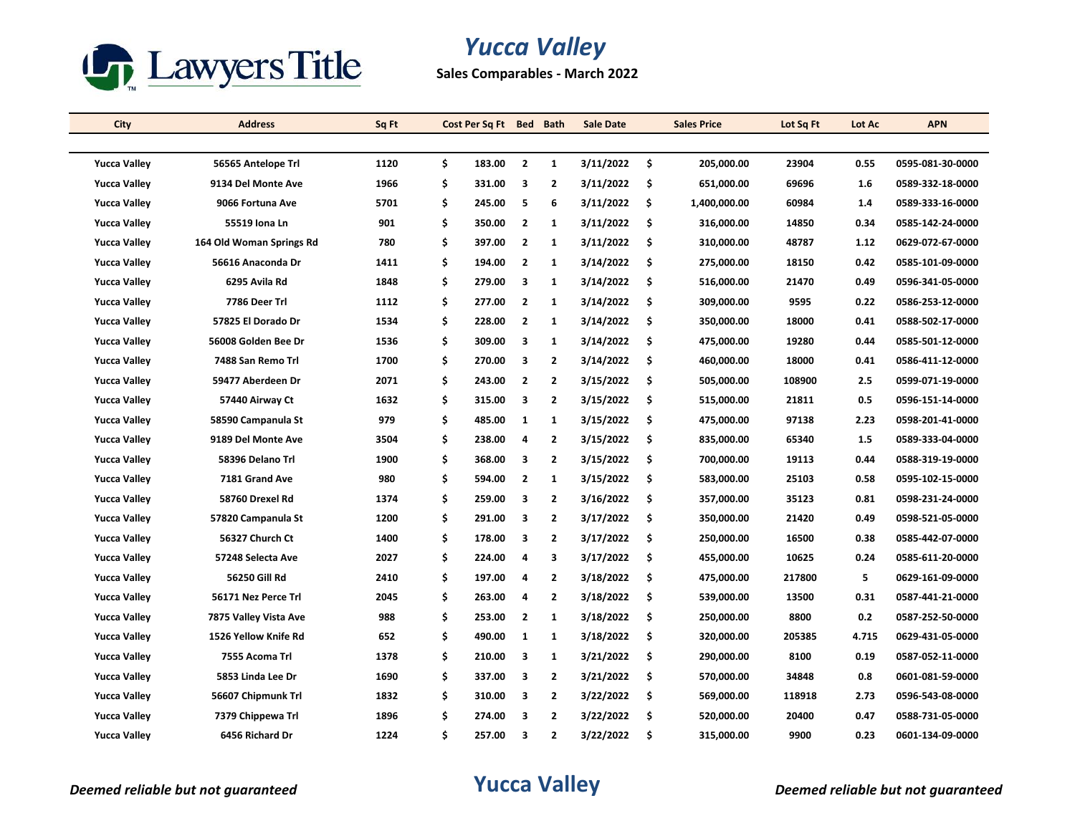

# *Yucca Valley*

**Sales Comparables - March 2022**

| City                | <b>Address</b>           | Sq Ft |    | Cost Per Sq Ft Bed |                         | <b>Bath</b>             | <b>Sale Date</b> |     | <b>Sales Price</b> | Lot Sq Ft | Lot Ac | <b>APN</b>       |
|---------------------|--------------------------|-------|----|--------------------|-------------------------|-------------------------|------------------|-----|--------------------|-----------|--------|------------------|
|                     |                          |       |    |                    |                         |                         |                  |     |                    |           |        |                  |
| <b>Yucca Valley</b> | 56565 Antelope Trl       | 1120  | \$ | 183.00             | $\overline{2}$          | $\mathbf{1}$            | 3/11/2022        | \$  | 205,000.00         | 23904     | 0.55   | 0595-081-30-0000 |
| <b>Yucca Valley</b> | 9134 Del Monte Ave       | 1966  | \$ | 331.00             | 3                       | $\mathbf{2}$            | 3/11/2022        | \$  | 651,000.00         | 69696     | 1.6    | 0589-332-18-0000 |
| <b>Yucca Valley</b> | 9066 Fortuna Ave         | 5701  | \$ | 245.00             | 5                       | 6                       | 3/11/2022        | \$  | 1,400,000.00       | 60984     | 1.4    | 0589-333-16-0000 |
| <b>Yucca Valley</b> | 55519 Iona Ln            | 901   | \$ | 350.00             | $\overline{2}$          | 1                       | 3/11/2022        | \$  | 316,000.00         | 14850     | 0.34   | 0585-142-24-0000 |
| <b>Yucca Valley</b> | 164 Old Woman Springs Rd | 780   | \$ | 397.00             | $\overline{2}$          | 1                       | 3/11/2022        | \$  | 310,000.00         | 48787     | 1.12   | 0629-072-67-0000 |
| <b>Yucca Valley</b> | 56616 Anaconda Dr        | 1411  | \$ | 194.00             | $\overline{2}$          | 1                       | 3/14/2022        | \$  | 275,000.00         | 18150     | 0.42   | 0585-101-09-0000 |
| <b>Yucca Valley</b> | 6295 Avila Rd            | 1848  | \$ | 279.00             | $\overline{\mathbf{3}}$ | $\mathbf{1}$            | 3/14/2022        | \$  | 516,000.00         | 21470     | 0.49   | 0596-341-05-0000 |
| <b>Yucca Valley</b> | 7786 Deer Trl            | 1112  | \$ | 277.00             | $\overline{2}$          | 1                       | 3/14/2022        | \$  | 309,000.00         | 9595      | 0.22   | 0586-253-12-0000 |
| <b>Yucca Valley</b> | 57825 El Dorado Dr       | 1534  | \$ | 228.00             | $\overline{2}$          | 1                       | 3/14/2022        | \$  | 350,000.00         | 18000     | 0.41   | 0588-502-17-0000 |
| <b>Yucca Valley</b> | 56008 Golden Bee Dr      | 1536  | \$ | 309.00             | 3                       | $\mathbf{1}$            | 3/14/2022        | \$  | 475,000.00         | 19280     | 0.44   | 0585-501-12-0000 |
| <b>Yucca Valley</b> | 7488 San Remo Trl        | 1700  | \$ | 270.00             | 3                       | 2                       | 3/14/2022        | \$  | 460,000.00         | 18000     | 0.41   | 0586-411-12-0000 |
| <b>Yucca Valley</b> | 59477 Aberdeen Dr        | 2071  | \$ | 243.00             | $\overline{2}$          | $\overline{2}$          | 3/15/2022        | \$  | 505,000.00         | 108900    | 2.5    | 0599-071-19-0000 |
| <b>Yucca Valley</b> | 57440 Airway Ct          | 1632  | \$ | 315.00             | 3                       | $\mathbf{2}$            | 3/15/2022        | \$  | 515,000.00         | 21811     | 0.5    | 0596-151-14-0000 |
| <b>Yucca Valley</b> | 58590 Campanula St       | 979   | \$ | 485.00             | 1                       | $\mathbf{1}$            | 3/15/2022        | \$  | 475,000.00         | 97138     | 2.23   | 0598-201-41-0000 |
| <b>Yucca Valley</b> | 9189 Del Monte Ave       | 3504  | \$ | 238.00             | 4                       | $\overline{2}$          | 3/15/2022        | \$  | 835,000.00         | 65340     | 1.5    | 0589-333-04-0000 |
| <b>Yucca Valley</b> | 58396 Delano Trl         | 1900  | \$ | 368.00             | 3                       | $\overline{\mathbf{2}}$ | 3/15/2022        | \$  | 700,000.00         | 19113     | 0.44   | 0588-319-19-0000 |
| <b>Yucca Valley</b> | 7181 Grand Ave           | 980   | \$ | 594.00             | $\overline{2}$          | 1                       | 3/15/2022        | \$  | 583,000.00         | 25103     | 0.58   | 0595-102-15-0000 |
| <b>Yucca Valley</b> | 58760 Drexel Rd          | 1374  | \$ | 259.00             | 3                       | 2                       | 3/16/2022        | \$  | 357,000.00         | 35123     | 0.81   | 0598-231-24-0000 |
| <b>Yucca Valley</b> | 57820 Campanula St       | 1200  | \$ | 291.00             | 3                       | $\overline{2}$          | 3/17/2022        | \$  | 350,000.00         | 21420     | 0.49   | 0598-521-05-0000 |
| <b>Yucca Valley</b> | 56327 Church Ct          | 1400  | \$ | 178.00             | $\overline{\mathbf{3}}$ | $\mathbf{2}$            | 3/17/2022        | \$  | 250,000.00         | 16500     | 0.38   | 0585-442-07-0000 |
| <b>Yucca Valley</b> | 57248 Selecta Ave        | 2027  | \$ | 224.00             | $\overline{a}$          | 3                       | 3/17/2022        | \$  | 455,000.00         | 10625     | 0.24   | 0585-611-20-0000 |
| <b>Yucca Valley</b> | 56250 Gill Rd            | 2410  | \$ | 197.00             | 4                       | $\overline{2}$          | 3/18/2022        | \$  | 475,000.00         | 217800    | 5      | 0629-161-09-0000 |
| <b>Yucca Valley</b> | 56171 Nez Perce Trl      | 2045  | \$ | 263.00             | 4                       | 2                       | 3/18/2022        | \$  | 539,000.00         | 13500     | 0.31   | 0587-441-21-0000 |
| <b>Yucca Valley</b> | 7875 Valley Vista Ave    | 988   | \$ | 253.00             | $\overline{2}$          | $\mathbf{1}$            | 3/18/2022        | \$  | 250,000.00         | 8800      | 0.2    | 0587-252-50-0000 |
| <b>Yucca Valley</b> | 1526 Yellow Knife Rd     | 652   | \$ | 490.00             | $\mathbf{1}$            | $\mathbf{1}$            | 3/18/2022        | \$  | 320,000.00         | 205385    | 4.715  | 0629-431-05-0000 |
| <b>Yucca Valley</b> | 7555 Acoma Trl           | 1378  | \$ | 210.00             | 3                       | 1                       | 3/21/2022        | \$  | 290,000.00         | 8100      | 0.19   | 0587-052-11-0000 |
| <b>Yucca Valley</b> | 5853 Linda Lee Dr        | 1690  | \$ | 337.00             | 3                       | 2                       | 3/21/2022        | \$  | 570,000.00         | 34848     | 0.8    | 0601-081-59-0000 |
| <b>Yucca Valley</b> | 56607 Chipmunk Trl       | 1832  | \$ | 310.00             | 3                       | 2                       | 3/22/2022        | \$  | 569,000.00         | 118918    | 2.73   | 0596-543-08-0000 |
| <b>Yucca Valley</b> | 7379 Chippewa Trl        | 1896  | Ś  | 274.00             | 3                       | 2                       | 3/22/2022        | \$  | 520,000.00         | 20400     | 0.47   | 0588-731-05-0000 |
| <b>Yucca Valley</b> | 6456 Richard Dr          | 1224  | \$ | 257.00             | $\overline{\mathbf{3}}$ | $\overline{2}$          | 3/22/2022        | \$. | 315,000.00         | 9900      | 0.23   | 0601-134-09-0000 |